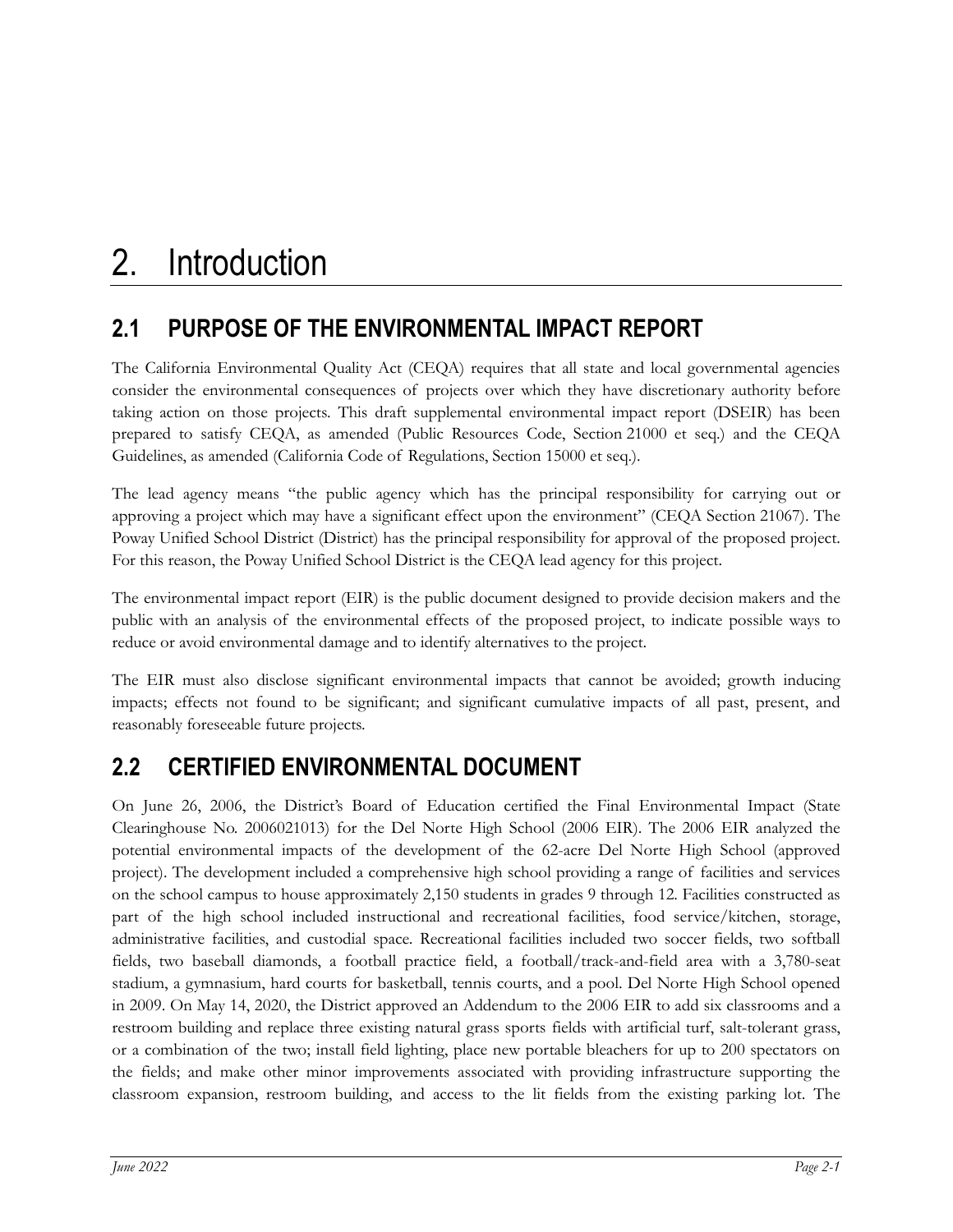# **2.1 PURPOSE OF THE ENVIRONMENTAL IMPACT REPORT**

The California Environmental Quality Act (CEQA) requires that all state and local governmental agencies consider the environmental consequences of projects over which they have discretionary authority before taking action on those projects. This draft supplemental environmental impact report (DSEIR) has been prepared to satisfy CEQA, as amended (Public Resources Code, Section 21000 et seq.) and the CEQA Guidelines, as amended (California Code of Regulations, Section 15000 et seq.).

The lead agency means "the public agency which has the principal responsibility for carrying out or approving a project which may have a significant effect upon the environment" (CEQA Section 21067). The Poway Unified School District (District) has the principal responsibility for approval of the proposed project. For this reason, the Poway Unified School District is the CEQA lead agency for this project.

The environmental impact report (EIR) is the public document designed to provide decision makers and the public with an analysis of the environmental effects of the proposed project, to indicate possible ways to reduce or avoid environmental damage and to identify alternatives to the project.

The EIR must also disclose significant environmental impacts that cannot be avoided; growth inducing impacts; effects not found to be significant; and significant cumulative impacts of all past, present, and reasonably foreseeable future projects.

# **2.2 CERTIFIED ENVIRONMENTAL DOCUMENT**

On June 26, 2006, the District's Board of Education certified the Final Environmental Impact (State Clearinghouse No. 2006021013) for the Del Norte High School (2006 EIR). The 2006 EIR analyzed the potential environmental impacts of the development of the 62-acre Del Norte High School (approved project). The development included a comprehensive high school providing a range of facilities and services on the school campus to house approximately 2,150 students in grades 9 through 12. Facilities constructed as part of the high school included instructional and recreational facilities, food service/kitchen, storage, administrative facilities, and custodial space. Recreational facilities included two soccer fields, two softball fields, two baseball diamonds, a football practice field, a football/track-and-field area with a 3,780-seat stadium, a gymnasium, hard courts for basketball, tennis courts, and a pool. Del Norte High School opened in 2009. On May 14, 2020, the District approved an Addendum to the 2006 EIR to add six classrooms and a restroom building and replace three existing natural grass sports fields with artificial turf, salt-tolerant grass, or a combination of the two; install field lighting, place new portable bleachers for up to 200 spectators on the fields; and make other minor improvements associated with providing infrastructure supporting the classroom expansion, restroom building, and access to the lit fields from the existing parking lot. The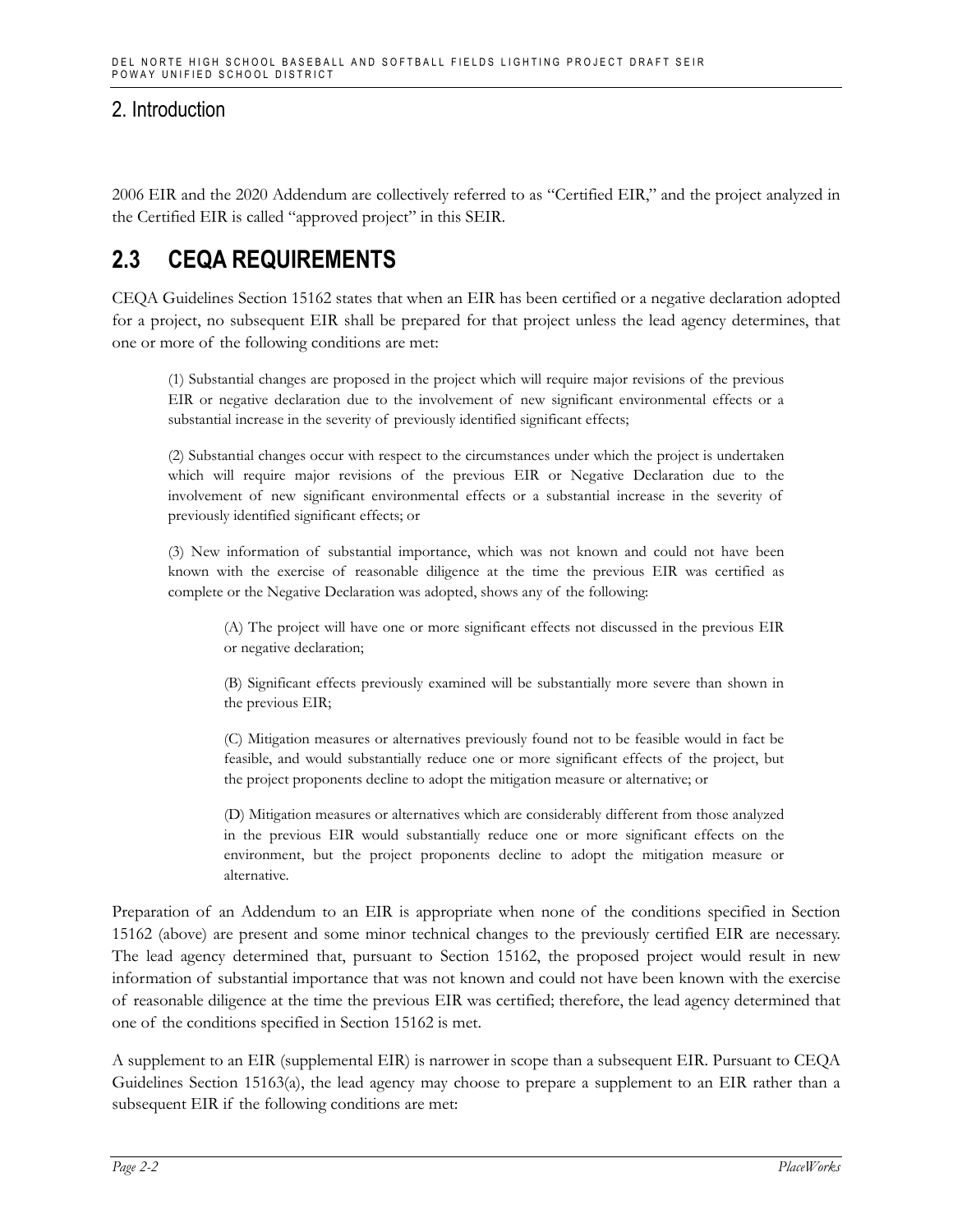2006 EIR and the 2020 Addendum are collectively referred to as "Certified EIR," and the project analyzed in the Certified EIR is called "approved project" in this SEIR.

## **2.3 CEQA REQUIREMENTS**

CEQA Guidelines Section 15162 states that when an EIR has been certified or a negative declaration adopted for a project, no subsequent EIR shall be prepared for that project unless the lead agency determines, that one or more of the following conditions are met:

(1) Substantial changes are proposed in the project which will require major revisions of the previous EIR or negative declaration due to the involvement of new significant environmental effects or a substantial increase in the severity of previously identified significant effects;

(2) Substantial changes occur with respect to the circumstances under which the project is undertaken which will require major revisions of the previous EIR or Negative Declaration due to the involvement of new significant environmental effects or a substantial increase in the severity of previously identified significant effects; or

(3) New information of substantial importance, which was not known and could not have been known with the exercise of reasonable diligence at the time the previous EIR was certified as complete or the Negative Declaration was adopted, shows any of the following:

(A) The project will have one or more significant effects not discussed in the previous EIR or negative declaration;

(B) Significant effects previously examined will be substantially more severe than shown in the previous EIR;

(C) Mitigation measures or alternatives previously found not to be feasible would in fact be feasible, and would substantially reduce one or more significant effects of the project, but the project proponents decline to adopt the mitigation measure or alternative; or

(D) Mitigation measures or alternatives which are considerably different from those analyzed in the previous EIR would substantially reduce one or more significant effects on the environment, but the project proponents decline to adopt the mitigation measure or alternative.

Preparation of an Addendum to an EIR is appropriate when none of the conditions specified in Section 15162 (above) are present and some minor technical changes to the previously certified EIR are necessary. The lead agency determined that, pursuant to Section 15162, the proposed project would result in new information of substantial importance that was not known and could not have been known with the exercise of reasonable diligence at the time the previous EIR was certified; therefore, the lead agency determined that one of the conditions specified in Section 15162 is met.

A supplement to an EIR (supplemental EIR) is narrower in scope than a subsequent EIR. Pursuant to CEQA Guidelines Section 15163(a), the lead agency may choose to prepare a supplement to an EIR rather than a subsequent EIR if the following conditions are met: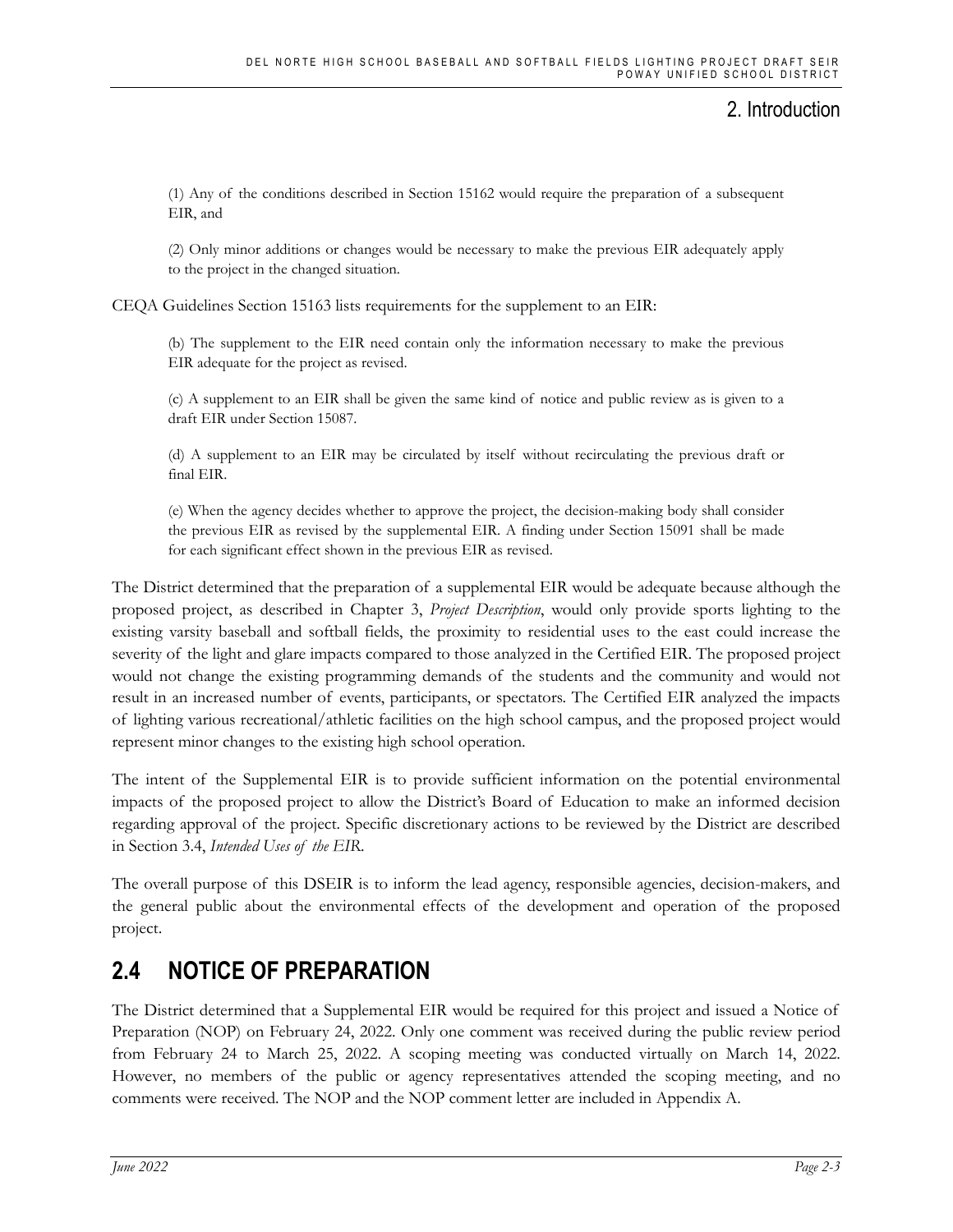(1) Any of the conditions described in Section 15162 would require the preparation of a subsequent EIR, and

(2) Only minor additions or changes would be necessary to make the previous EIR adequately apply to the project in the changed situation.

CEQA Guidelines Section 15163 lists requirements for the supplement to an EIR:

(b) The supplement to the EIR need contain only the information necessary to make the previous EIR adequate for the project as revised.

(c) A supplement to an EIR shall be given the same kind of notice and public review as is given to a draft EIR under Section 15087.

(d) A supplement to an EIR may be circulated by itself without recirculating the previous draft or final EIR.

(e) When the agency decides whether to approve the project, the decision-making body shall consider the previous EIR as revised by the supplemental EIR. A finding under Section 15091 shall be made for each significant effect shown in the previous EIR as revised.

The District determined that the preparation of a supplemental EIR would be adequate because although the proposed project, as described in Chapter 3, *Project Description*, would only provide sports lighting to the existing varsity baseball and softball fields, the proximity to residential uses to the east could increase the severity of the light and glare impacts compared to those analyzed in the Certified EIR. The proposed project would not change the existing programming demands of the students and the community and would not result in an increased number of events, participants, or spectators. The Certified EIR analyzed the impacts of lighting various recreational/athletic facilities on the high school campus, and the proposed project would represent minor changes to the existing high school operation.

The intent of the Supplemental EIR is to provide sufficient information on the potential environmental impacts of the proposed project to allow the District's Board of Education to make an informed decision regarding approval of the project. Specific discretionary actions to be reviewed by the District are described in Section 3.4, *Intended Uses of the EIR*.

The overall purpose of this DSEIR is to inform the lead agency, responsible agencies, decision-makers, and the general public about the environmental effects of the development and operation of the proposed project.

## **2.4 NOTICE OF PREPARATION**

The District determined that a Supplemental EIR would be required for this project and issued a Notice of Preparation (NOP) on February 24, 2022. Only one comment was received during the public review period from February 24 to March 25, 2022. A scoping meeting was conducted virtually on March 14, 2022. However, no members of the public or agency representatives attended the scoping meeting, and no comments were received. The NOP and the NOP comment letter are included in Appendix A.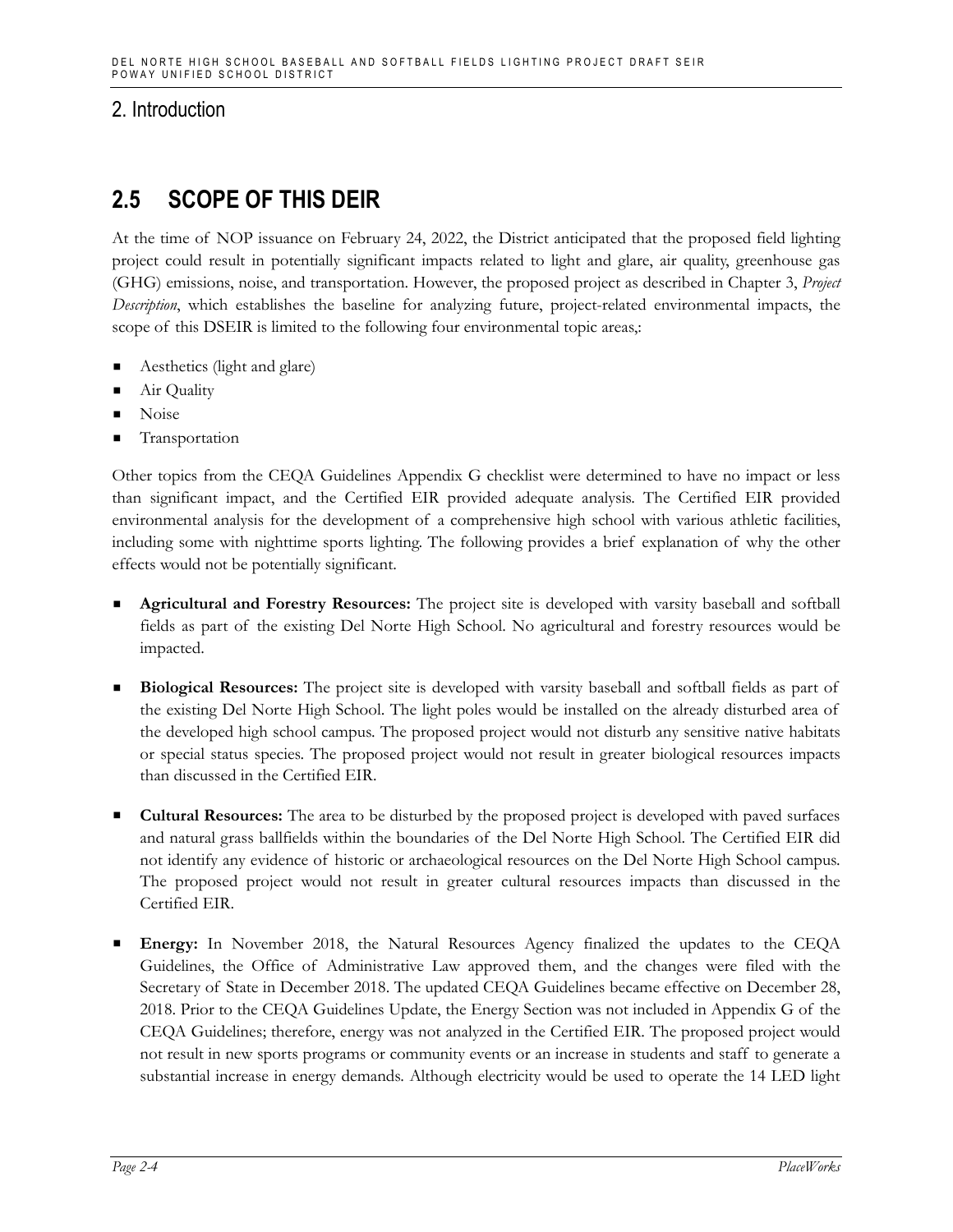## **2.5 SCOPE OF THIS DEIR**

At the time of NOP issuance on February 24, 2022, the District anticipated that the proposed field lighting project could result in potentially significant impacts related to light and glare, air quality, greenhouse gas (GHG) emissions, noise, and transportation. However, the proposed project as described in Chapter 3, *Project Description*, which establishes the baseline for analyzing future, project-related environmental impacts, the scope of this DSEIR is limited to the following four environmental topic areas,:

- Aesthetics (light and glare)
- Air Quality
- Noise
- Transportation

Other topics from the CEQA Guidelines Appendix G checklist were determined to have no impact or less than significant impact, and the Certified EIR provided adequate analysis. The Certified EIR provided environmental analysis for the development of a comprehensive high school with various athletic facilities, including some with nighttime sports lighting. The following provides a brief explanation of why the other effects would not be potentially significant.

- **Agricultural and Forestry Resources:** The project site is developed with varsity baseball and softball fields as part of the existing Del Norte High School. No agricultural and forestry resources would be impacted.
- **Biological Resources:** The project site is developed with varsity baseball and softball fields as part of the existing Del Norte High School. The light poles would be installed on the already disturbed area of the developed high school campus. The proposed project would not disturb any sensitive native habitats or special status species. The proposed project would not result in greater biological resources impacts than discussed in the Certified EIR.
- **Cultural Resources:** The area to be disturbed by the proposed project is developed with paved surfaces and natural grass ballfields within the boundaries of the Del Norte High School. The Certified EIR did not identify any evidence of historic or archaeological resources on the Del Norte High School campus. The proposed project would not result in greater cultural resources impacts than discussed in the Certified EIR.
- **Energy:** In November 2018, the Natural Resources Agency finalized the updates to the CEQA Guidelines, the Office of Administrative Law approved them, and the changes were filed with the Secretary of State in December 2018. The updated CEQA Guidelines became effective on December 28, 2018. Prior to the CEQA Guidelines Update, the Energy Section was not included in Appendix G of the CEQA Guidelines; therefore, energy was not analyzed in the Certified EIR. The proposed project would not result in new sports programs or community events or an increase in students and staff to generate a substantial increase in energy demands. Although electricity would be used to operate the 14 LED light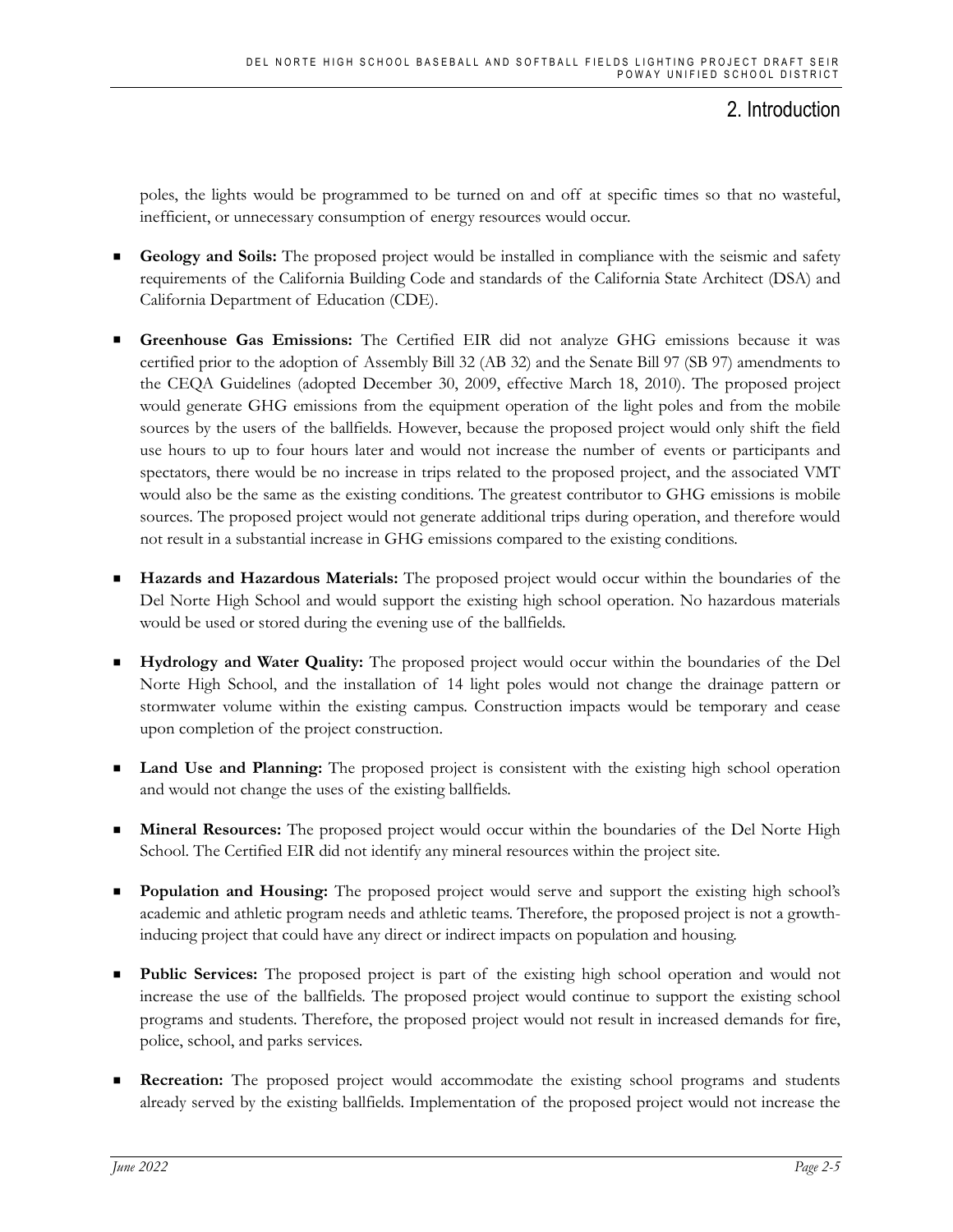poles, the lights would be programmed to be turned on and off at specific times so that no wasteful, inefficient, or unnecessary consumption of energy resources would occur.

- Geology and Soils: The proposed project would be installed in compliance with the seismic and safety requirements of the California Building Code and standards of the California State Architect (DSA) and California Department of Education (CDE).
- **Greenhouse Gas Emissions:** The Certified EIR did not analyze GHG emissions because it was certified prior to the adoption of Assembly Bill 32 (AB 32) and the Senate Bill 97 (SB 97) amendments to the CEQA Guidelines (adopted December 30, 2009, effective March 18, 2010). The proposed project would generate GHG emissions from the equipment operation of the light poles and from the mobile sources by the users of the ballfields. However, because the proposed project would only shift the field use hours to up to four hours later and would not increase the number of events or participants and spectators, there would be no increase in trips related to the proposed project, and the associated VMT would also be the same as the existing conditions. The greatest contributor to GHG emissions is mobile sources. The proposed project would not generate additional trips during operation, and therefore would not result in a substantial increase in GHG emissions compared to the existing conditions.
- **Hazards and Hazardous Materials:** The proposed project would occur within the boundaries of the Del Norte High School and would support the existing high school operation. No hazardous materials would be used or stored during the evening use of the ballfields.
- **Hydrology and Water Quality:** The proposed project would occur within the boundaries of the Del Norte High School, and the installation of 14 light poles would not change the drainage pattern or stormwater volume within the existing campus. Construction impacts would be temporary and cease upon completion of the project construction.
- **Land Use and Planning:** The proposed project is consistent with the existing high school operation and would not change the uses of the existing ballfields.
- **Mineral Resources:** The proposed project would occur within the boundaries of the Del Norte High School. The Certified EIR did not identify any mineral resources within the project site.
- **Population and Housing:** The proposed project would serve and support the existing high school's academic and athletic program needs and athletic teams. Therefore, the proposed project is not a growthinducing project that could have any direct or indirect impacts on population and housing.
- **Public Services:** The proposed project is part of the existing high school operation and would not increase the use of the ballfields. The proposed project would continue to support the existing school programs and students. Therefore, the proposed project would not result in increased demands for fire, police, school, and parks services.
- **Recreation:** The proposed project would accommodate the existing school programs and students already served by the existing ballfields. Implementation of the proposed project would not increase the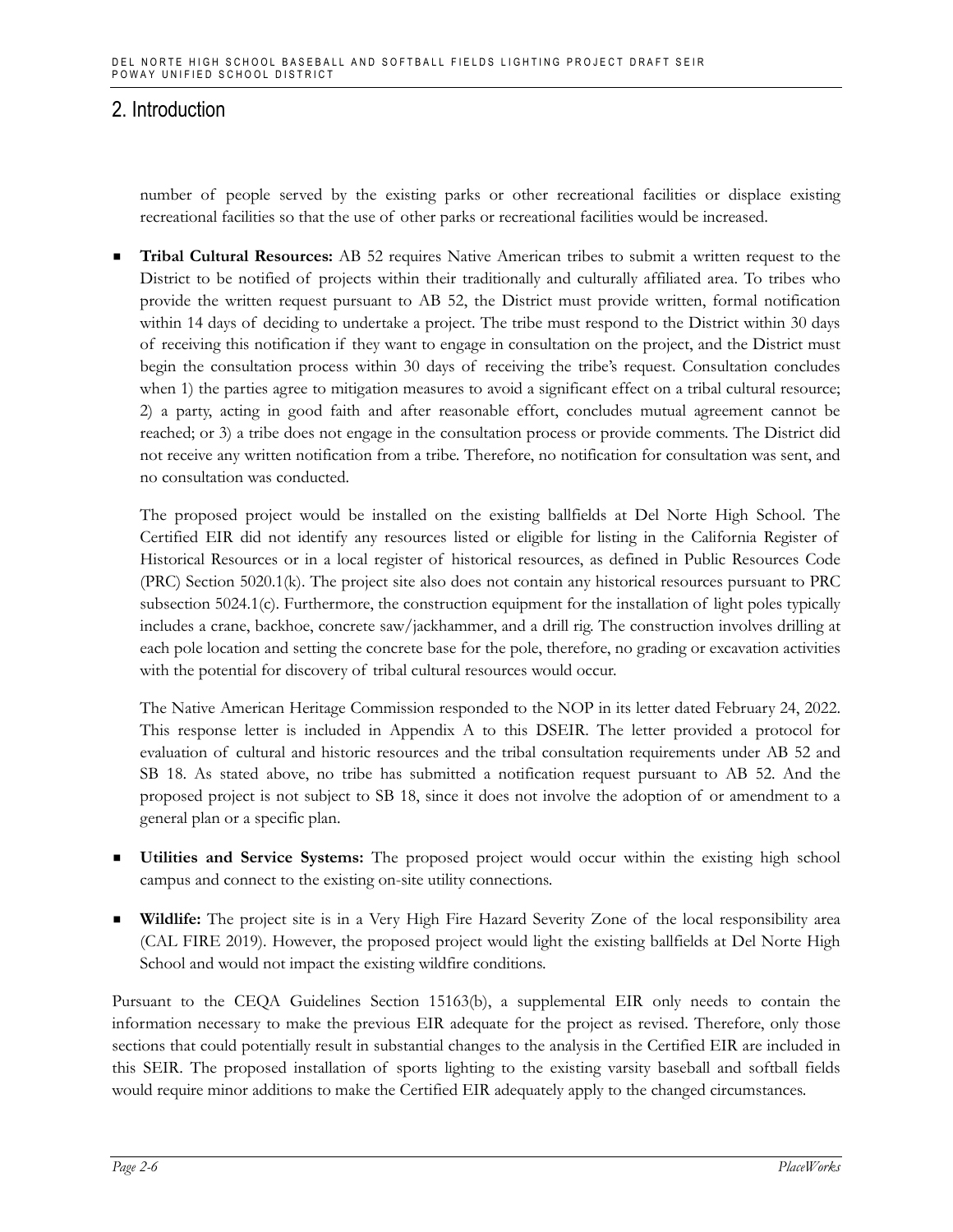number of people served by the existing parks or other recreational facilities or displace existing recreational facilities so that the use of other parks or recreational facilities would be increased.

 **Tribal Cultural Resources:** AB 52 requires Native American tribes to submit a written request to the District to be notified of projects within their traditionally and culturally affiliated area. To tribes who provide the written request pursuant to AB 52, the District must provide written, formal notification within 14 days of deciding to undertake a project. The tribe must respond to the District within 30 days of receiving this notification if they want to engage in consultation on the project, and the District must begin the consultation process within 30 days of receiving the tribe's request. Consultation concludes when 1) the parties agree to mitigation measures to avoid a significant effect on a tribal cultural resource; 2) a party, acting in good faith and after reasonable effort, concludes mutual agreement cannot be reached; or 3) a tribe does not engage in the consultation process or provide comments. The District did not receive any written notification from a tribe. Therefore, no notification for consultation was sent, and no consultation was conducted.

The proposed project would be installed on the existing ballfields at Del Norte High School. The Certified EIR did not identify any resources listed or eligible for listing in the California Register of Historical Resources or in a local register of historical resources, as defined in Public Resources Code (PRC) Section 5020.1(k). The project site also does not contain any historical resources pursuant to PRC subsection 5024.1(c). Furthermore, the construction equipment for the installation of light poles typically includes a crane, backhoe, concrete saw/jackhammer, and a drill rig. The construction involves drilling at each pole location and setting the concrete base for the pole, therefore, no grading or excavation activities with the potential for discovery of tribal cultural resources would occur.

The Native American Heritage Commission responded to the NOP in its letter dated February 24, 2022. This response letter is included in Appendix A to this DSEIR. The letter provided a protocol for evaluation of cultural and historic resources and the tribal consultation requirements under AB 52 and SB 18. As stated above, no tribe has submitted a notification request pursuant to AB 52. And the proposed project is not subject to SB 18, since it does not involve the adoption of or amendment to a general plan or a specific plan.

- **Utilities and Service Systems:** The proposed project would occur within the existing high school campus and connect to the existing on-site utility connections.
- **Wildlife:** The project site is in a Very High Fire Hazard Severity Zone of the local responsibility area (CAL FIRE 2019). However, the proposed project would light the existing ballfields at Del Norte High School and would not impact the existing wildfire conditions.

Pursuant to the CEQA Guidelines Section 15163(b), a supplemental EIR only needs to contain the information necessary to make the previous EIR adequate for the project as revised. Therefore, only those sections that could potentially result in substantial changes to the analysis in the Certified EIR are included in this SEIR. The proposed installation of sports lighting to the existing varsity baseball and softball fields would require minor additions to make the Certified EIR adequately apply to the changed circumstances.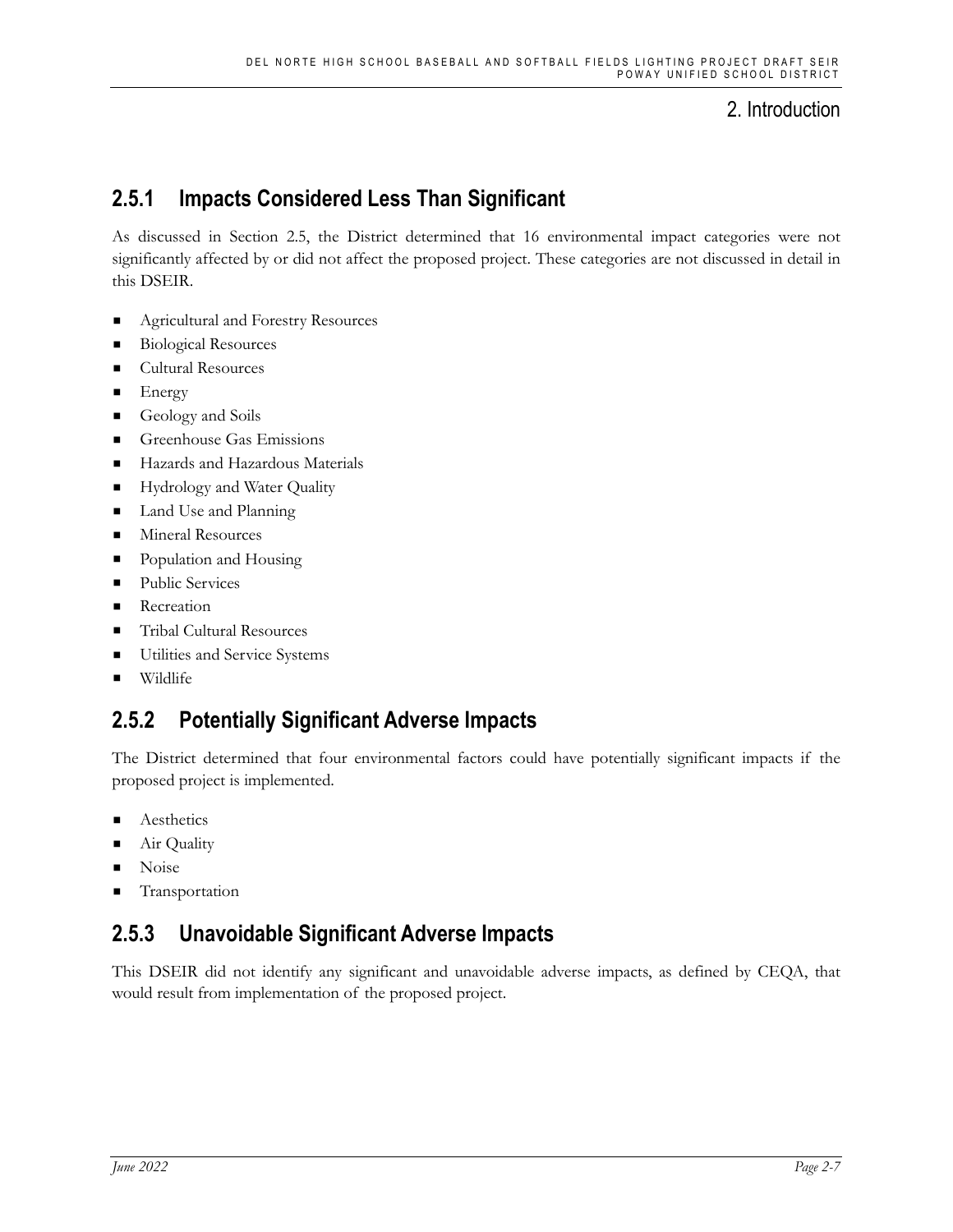## **2.5.1 Impacts Considered Less Than Significant**

As discussed in Section 2.5, the District determined that 16 environmental impact categories were not significantly affected by or did not affect the proposed project. These categories are not discussed in detail in this DSEIR.

- **Agricultural and Forestry Resources**
- Biological Resources
- **Cultural Resources**
- **Energy**
- Geology and Soils
- Greenhouse Gas Emissions
- Hazards and Hazardous Materials
- Hydrology and Water Quality
- Land Use and Planning
- **Mineral Resources**
- Population and Housing
- **Public Services**
- **Recreation**
- Tribal Cultural Resources
- **Utilities and Service Systems**
- Wildlife

## **2.5.2 Potentially Significant Adverse Impacts**

The District determined that four environmental factors could have potentially significant impacts if the proposed project is implemented.

- Aesthetics
- Air Quality
- Noise
- Transportation

## **2.5.3 Unavoidable Significant Adverse Impacts**

This DSEIR did not identify any significant and unavoidable adverse impacts, as defined by CEQA, that would result from implementation of the proposed project.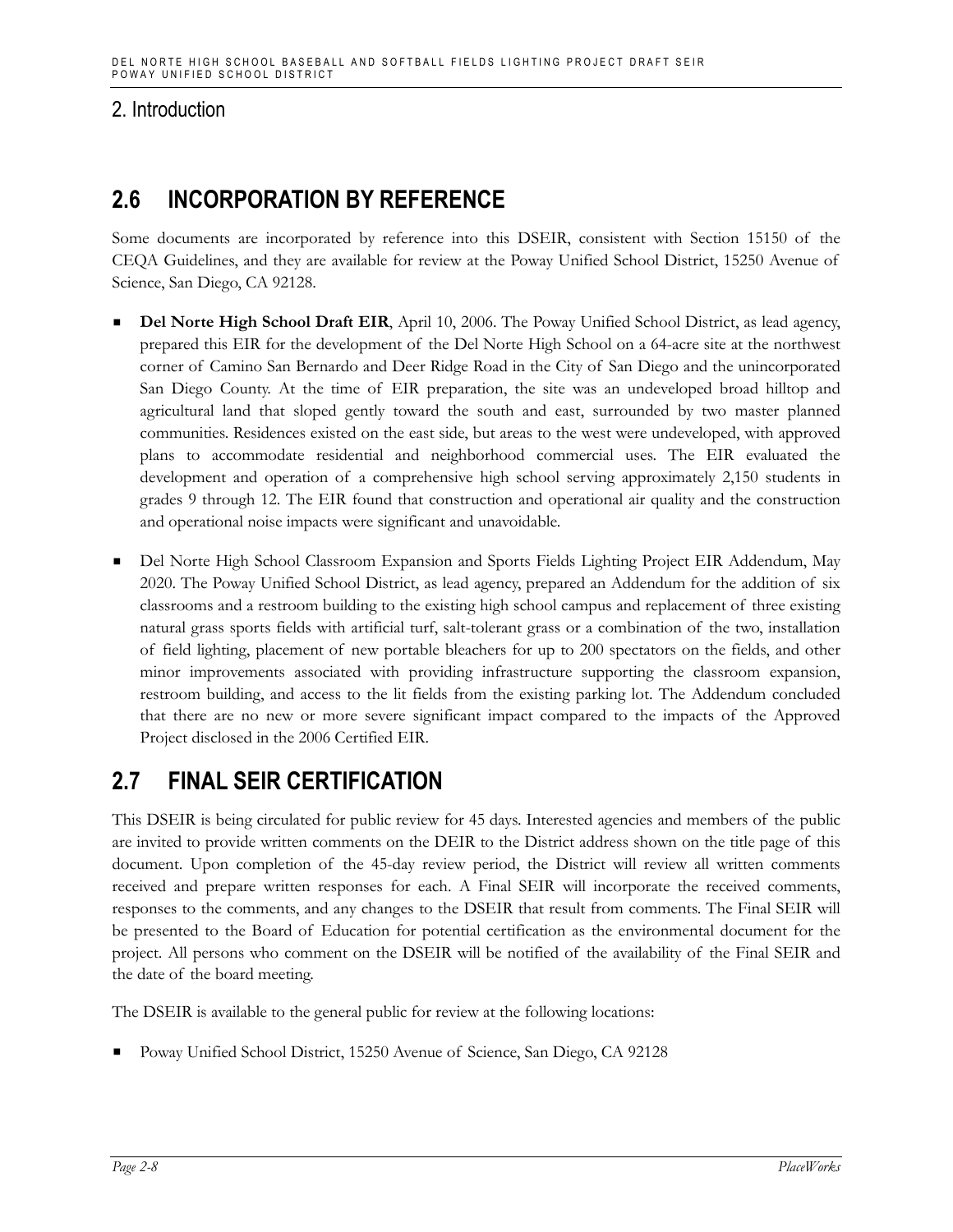## **2.6 INCORPORATION BY REFERENCE**

Some documents are incorporated by reference into this DSEIR, consistent with Section 15150 of the CEQA Guidelines, and they are available for review at the Poway Unified School District, 15250 Avenue of Science, San Diego, CA 92128.

- **Del Norte High School Draft EIR**, April 10, 2006. The Poway Unified School District, as lead agency, prepared this EIR for the development of the Del Norte High School on a 64-acre site at the northwest corner of Camino San Bernardo and Deer Ridge Road in the City of San Diego and the unincorporated San Diego County. At the time of EIR preparation, the site was an undeveloped broad hilltop and agricultural land that sloped gently toward the south and east, surrounded by two master planned communities. Residences existed on the east side, but areas to the west were undeveloped, with approved plans to accommodate residential and neighborhood commercial uses. The EIR evaluated the development and operation of a comprehensive high school serving approximately 2,150 students in grades 9 through 12. The EIR found that construction and operational air quality and the construction and operational noise impacts were significant and unavoidable.
- Del Norte High School Classroom Expansion and Sports Fields Lighting Project EIR Addendum, May 2020. The Poway Unified School District, as lead agency, prepared an Addendum for the addition of six classrooms and a restroom building to the existing high school campus and replacement of three existing natural grass sports fields with artificial turf, salt-tolerant grass or a combination of the two, installation of field lighting, placement of new portable bleachers for up to 200 spectators on the fields, and other minor improvements associated with providing infrastructure supporting the classroom expansion, restroom building, and access to the lit fields from the existing parking lot. The Addendum concluded that there are no new or more severe significant impact compared to the impacts of the Approved Project disclosed in the 2006 Certified EIR.

## **2.7 FINAL SEIR CERTIFICATION**

This DSEIR is being circulated for public review for 45 days. Interested agencies and members of the public are invited to provide written comments on the DEIR to the District address shown on the title page of this document. Upon completion of the 45-day review period, the District will review all written comments received and prepare written responses for each. A Final SEIR will incorporate the received comments, responses to the comments, and any changes to the DSEIR that result from comments. The Final SEIR will be presented to the Board of Education for potential certification as the environmental document for the project. All persons who comment on the DSEIR will be notified of the availability of the Final SEIR and the date of the board meeting.

The DSEIR is available to the general public for review at the following locations:

Poway Unified School District, 15250 Avenue of Science, San Diego, CA 92128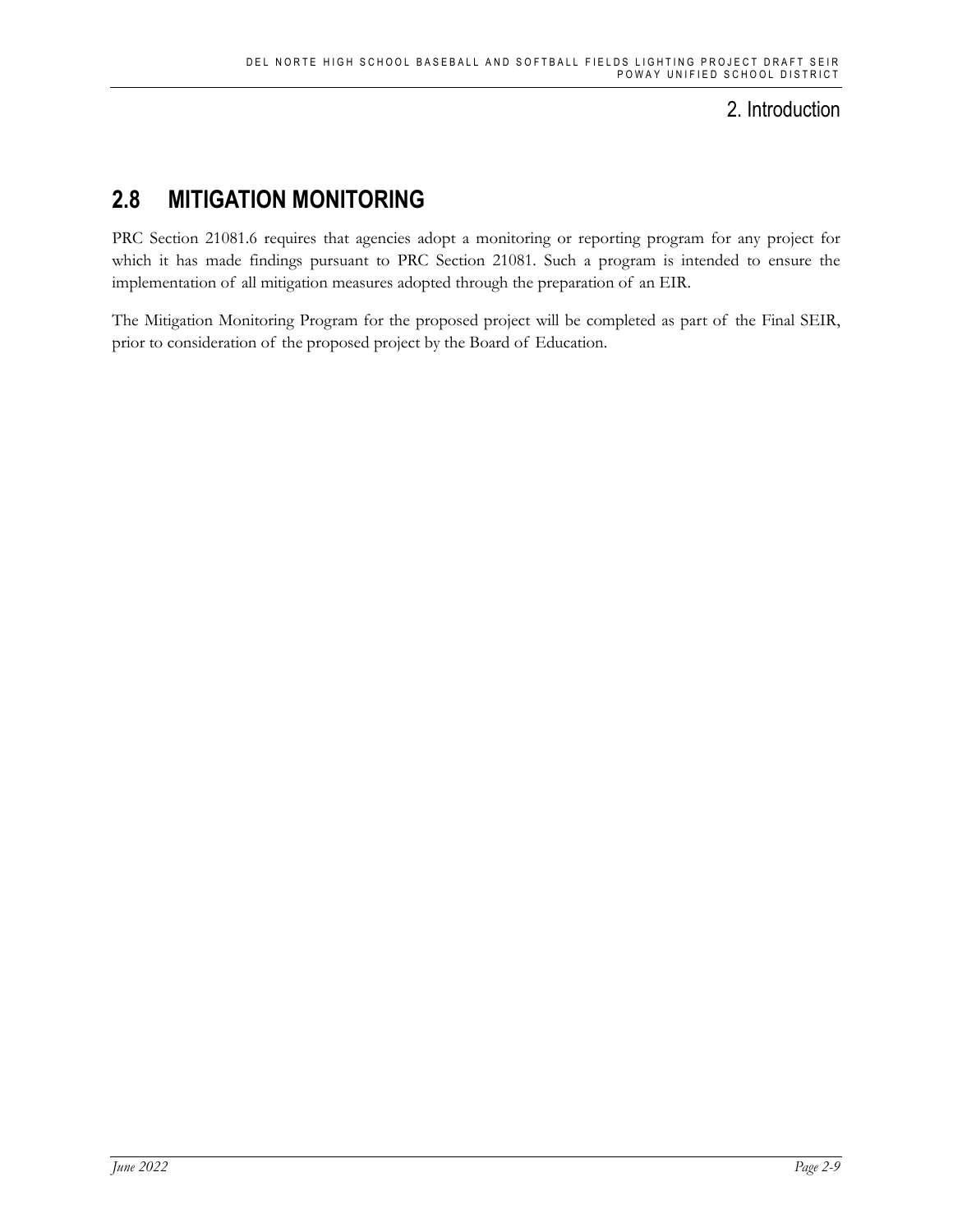# **2.8 MITIGATION MONITORING**

PRC Section 21081.6 requires that agencies adopt a monitoring or reporting program for any project for which it has made findings pursuant to PRC Section 21081. Such a program is intended to ensure the implementation of all mitigation measures adopted through the preparation of an EIR.

The Mitigation Monitoring Program for the proposed project will be completed as part of the Final SEIR, prior to consideration of the proposed project by the Board of Education.